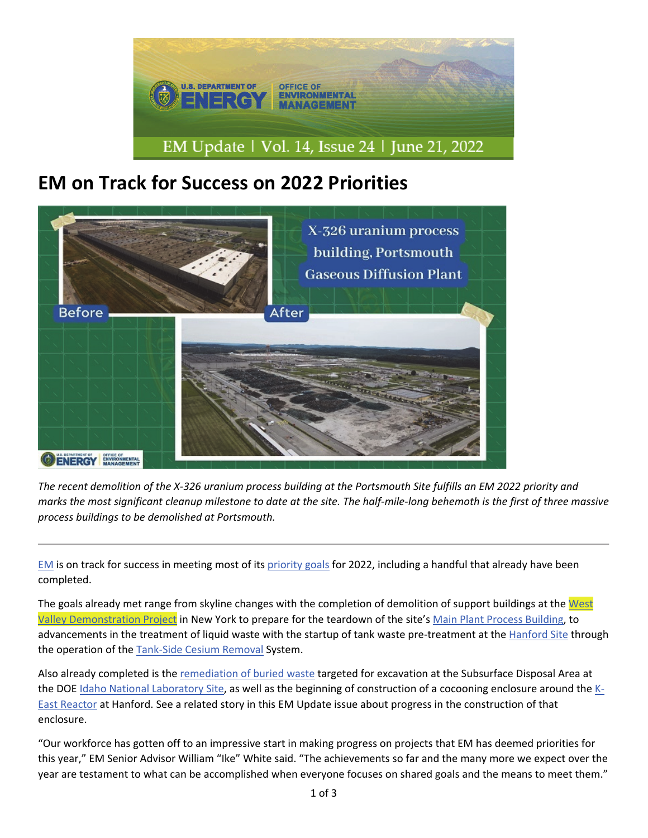

## **EM on Track for Success on 2022 Priorities**



The recent demolition of the X-326 uranium process building at the Portsmouth Site fulfills an EM 2022 priority and marks the most significant cleanup milestone to date at the site. The half-mile-long behemoth is the first of three massive *process buildings to be demolished at Portsmouth.*

EM is on track for success in meeting most of its priority goals for 2022, including a handful that already have been completed.

The goals already met range from skyline changes with the completion of demolition of support buildings at the West Valley Demonstration Project in New York to prepare for the teardown of the site's Main Plant Process Building, to advancements in the treatment of liquid waste with the startup of tank waste pre-treatment at the Hanford Site through the operation of the Tank‐Side Cesium Removal System.

Also already completed is the remediation of buried waste targeted for excavation at the Subsurface Disposal Area at the DOE Idaho National Laboratory Site, as well as the beginning of construction of a cocooning enclosure around the K‐ East Reactor at Hanford. See a related story in this EM Update issue about progress in the construction of that enclosure.

"Our workforce has gotten off to an impressive start in making progress on projects that EM has deemed priorities for this year," EM Senior Advisor William "Ike" White said. "The achievements so far and the many more we expect over the year are testament to what can be accomplished when everyone focuses on shared goals and the means to meet them."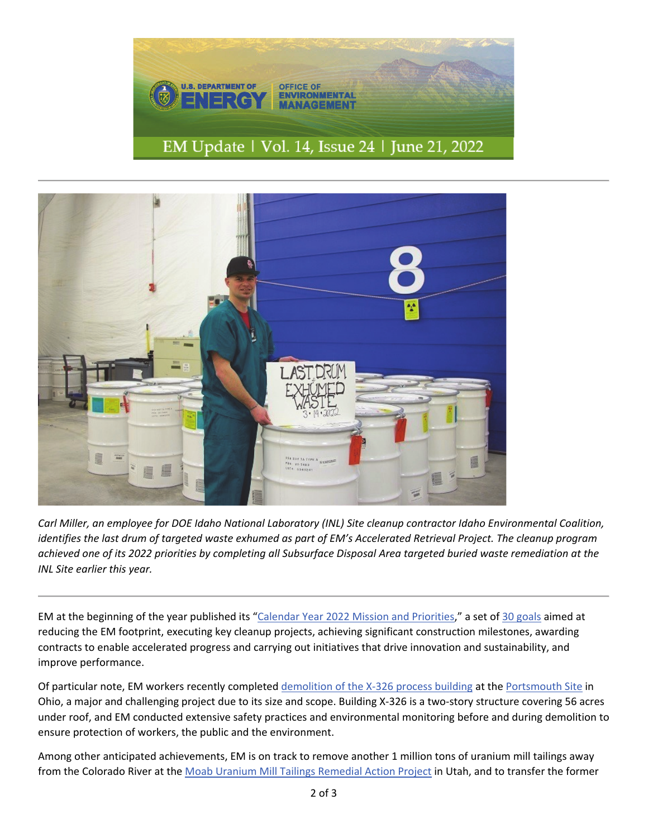



Carl Miller, an employee for DOE Idaho National Laboratory (INL) Site cleanup contractor Idaho Environmental Coalition, identifies the last drum of targeted waste exhumed as part of EM's Accelerated Retrieval Project. The cleanup program achieved one of its 2022 priorities by completing all Subsurface Disposal Area targeted buried waste remediation at the *INL Site earlier this year.*

EM at the beginning of the year published its "Calendar Year 2022 Mission and Priorities," a set of 30 goals aimed at reducing the EM footprint, executing key cleanup projects, achieving significant construction milestones, awarding contracts to enable accelerated progress and carrying out initiatives that drive innovation and sustainability, and improve performance.

Of particular note, EM workers recently completed demolition of the X-326 process building at the Portsmouth Site in Ohio, a major and challenging project due to its size and scope. Building X‐326 is a two‐story structure covering 56 acres under roof, and EM conducted extensive safety practices and environmental monitoring before and during demolition to ensure protection of workers, the public and the environment.

Among other anticipated achievements, EM is on track to remove another 1 million tons of uranium mill tailings away from the Colorado River at the Moab Uranium Mill Tailings Remedial Action Project in Utah, and to transfer the former